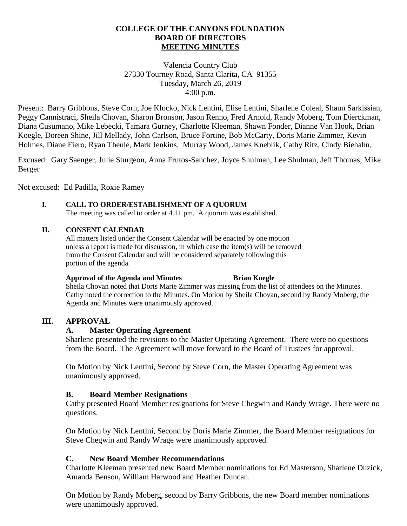## **COLLEGE OF THE CANYONS FOUNDATION BOARD OF DIRECTORS MEETING MINUTES**

Valencia Country Club 27330 Tourney Road, Santa Clarita, CA 91355 Tuesday, March 26, 2019 4:00 p.m.

Present: Barry Gribbons, Steve Corn, Joe Klocko, Nick Lentini, Elise Lentini, Sharlene Coleal, Shaun Sarkissian, Peggy Cannistraci, Sheila Chovan, Sharon Bronson, Jason Renno, Fred Arnold, Randy Moberg, Tom Dierckman, Diana Cusumano, Mike Lebecki, Tamara Gurney, Charlotte Kleeman, Shawn Fonder, Dianne Van Hook, Brian Koegle, Doreen Shine, Jill Mellady, John Carlson, Bruce Fortine, Bob McCarty, Doris Marie Zimmer, Kevin Holmes, Diane Fiero, Ryan Theule, Mark Jenkins, Murray Wood, James Kneblik, Cathy Ritz, Cindy Biehahn,

Excused: Gary Saenger, Julie Sturgeon, Anna Frutos-Sanchez, Joyce Shulman, Lee Shulman, Jeff Thomas, Mike Berger

Not excused: Ed Padilla, Roxie Ramey

## **I. CALL TO ORDER/ESTABLISHMENT OF A QUORUM**

The meeting was called to order at 4.11 pm. A quorum was established.

### **II. CONSENT CALENDAR**

All matters listed under the Consent Calendar will be enacted by one motion unless a report is made for discussion, in which case the item(s) will be removed from the Consent Calendar and will be considered separately following this portion of the agenda.

#### **Approval of the Agenda and Minutes Brian Koegle**

Sheila Chovan noted that Doris Marie Zimmer was missing from the list of attendees on the Minutes. Cathy noted the correction to the Minutes. On Motion by Sheila Chovan, second by Randy Moberg, the Agenda and Minutes were unanimously approved.

#### **III. APPROVAL**

#### **A. Master Operating Agreement**

Sharlene presented the revisions to the Master Operating Agreement. There were no questions from the Board. The Agreement will move forward to the Board of Trustees for approval.

On Motion by Nick Lentini, Second by Steve Corn, the Master Operating Agreement was unanimously approved.

#### **B. Board Member Resignations**

Cathy presented Board Member resignations for Steve Chegwin and Randy Wrage. There were no questions.

On Motion by Nick Lentini, Second by Doris Marie Zimmer, the Board Member resignations for Steve Chegwin and Randy Wrage were unanimously approved.

## **C. New Board Member Recommendations**

Charlotte Kleeman presented new Board Member nominations for Ed Masterson, Sharlene Duzick, Amanda Benson, William Harwood and Heather Duncan.

On Motion by Randy Moberg, second by Barry Gribbons, the new Board member nominations were unanimously approved.